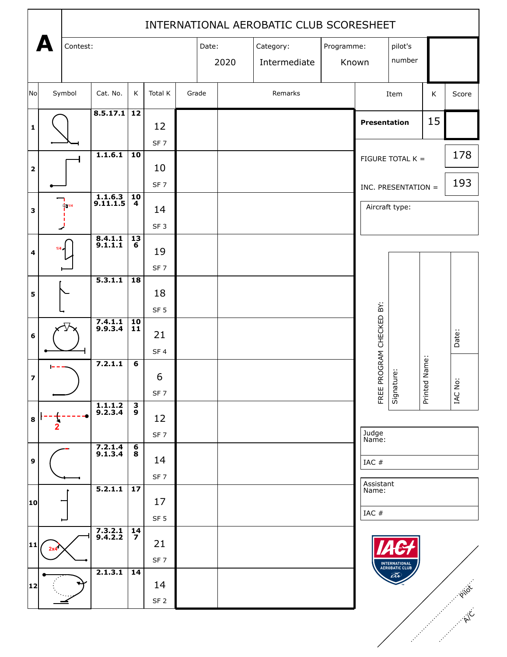|                         |       | INTERNATIONAL AEROBATIC CLUB SCORESHEET |                                  |                                   |                 |  |       |       |              |            |      |                     |                                 |         |           |
|-------------------------|-------|-----------------------------------------|----------------------------------|-----------------------------------|-----------------|--|-------|-------|--------------|------------|------|---------------------|---------------------------------|---------|-----------|
|                         |       | Contest:                                |                                  |                                   |                 |  |       | Date: | Category:    | Programme: |      |                     | pilot's                         |         |           |
|                         |       |                                         |                                  |                                   |                 |  |       | 2020  | Intermediate |            |      | Known               | number                          |         |           |
|                         |       |                                         |                                  |                                   |                 |  |       |       |              |            |      |                     |                                 |         |           |
| No                      |       | Symbol                                  | Cat. No.                         | $\sf K$                           | Total K         |  | Grade |       | Remarks      |            | Item |                     | K                               | Score   |           |
|                         |       |                                         | $8.5.17.1$ 12                    |                                   |                 |  |       |       |              |            |      |                     |                                 |         |           |
| $\mathbf 1$             |       |                                         |                                  |                                   | 12              |  |       |       |              |            |      | <b>Presentation</b> |                                 | 15      |           |
|                         |       |                                         |                                  |                                   | SF <sub>7</sub> |  |       |       |              |            |      |                     |                                 |         |           |
|                         |       |                                         | 1.1.6.1                          | $\overline{10}$                   |                 |  |       |       |              |            |      |                     | FIGURE TOTAL K =                |         | 178       |
| $\mathbf{2}$            |       |                                         |                                  |                                   | 10              |  |       |       |              |            |      |                     |                                 |         | 193       |
|                         |       |                                         | $\overline{1.1.6.3}$<br>9.11.1.5 | 10                                | SF <sub>7</sub> |  |       |       |              |            |      |                     | INC. PRESENTATION =             |         |           |
| 3                       |       | 71/4                                    |                                  | 4                                 | 14              |  |       |       |              |            |      | Aircraft type:      |                                 |         |           |
|                         |       |                                         |                                  |                                   |                 |  |       |       |              |            |      |                     |                                 |         |           |
|                         | 1/4.4 |                                         | $8.4.1.1$<br>9.1.1.1             | $\overline{13}$<br>$\overline{6}$ | 19              |  |       |       |              |            |      |                     |                                 |         |           |
| 4                       |       |                                         |                                  |                                   | SF <sub>7</sub> |  |       |       |              |            |      |                     |                                 |         |           |
|                         |       |                                         | 5.3.1.1                          | $\overline{18}$                   |                 |  |       |       |              |            |      |                     |                                 |         |           |
| 5                       |       |                                         |                                  |                                   | 18              |  |       |       |              |            |      |                     |                                 |         |           |
|                         |       |                                         |                                  |                                   | SF <sub>5</sub> |  |       |       |              |            |      |                     |                                 |         |           |
| $\bf 6$                 |       |                                         | $7.4.1.1$<br>9.9.3.4             | 10<br>11                          | 21              |  |       |       |              |            |      | ROGRAM CHECKED BY:  |                                 |         |           |
|                         |       |                                         |                                  |                                   | SF <sub>4</sub> |  |       |       |              |            |      |                     |                                 |         | Date:     |
|                         |       |                                         | 7.2.1.1                          | $\overline{\mathbf{6}}$           |                 |  |       |       |              |            |      |                     |                                 | Name:   |           |
| $\overline{\mathbf{z}}$ |       |                                         |                                  |                                   | 6               |  |       |       |              |            |      |                     | Signature:                      |         | $\cdot$ . |
|                         |       |                                         |                                  |                                   | SF <sub>7</sub> |  |       |       |              |            |      | FREE PI             |                                 | Printed | IAC No:   |
| 8                       |       |                                         | $\frac{1.1.1.2}{9.2.3.4}$        | $\overline{3}$<br>9               | 12              |  |       |       |              |            |      |                     |                                 |         |           |
|                         | 2     |                                         |                                  |                                   | SF <sub>7</sub> |  |       |       |              |            |      | Judge               |                                 |         |           |
|                         |       |                                         | $7.2.1.4$<br>9.1.3.4             | $\overline{\mathbf{6}}$<br>8      |                 |  |       |       |              |            |      | Name:               |                                 |         |           |
| $\boldsymbol{9}$        |       |                                         |                                  |                                   | 14              |  |       |       |              |            |      | IAC #               |                                 |         |           |
|                         |       |                                         | 5.2.1.1                          | $\overline{17}$                   | SF <sub>7</sub> |  |       |       |              |            |      | Assistant           |                                 |         |           |
| 10                      |       |                                         |                                  |                                   | 17              |  |       |       |              |            |      | Name:               |                                 |         |           |
|                         |       |                                         |                                  |                                   | SF <sub>5</sub> |  |       |       |              |            |      | IAC #               |                                 |         |           |
|                         |       |                                         | $7.3.2.1$<br>9.4.2.2             | 14<br>$\overline{z}$              |                 |  |       |       |              |            |      |                     |                                 |         |           |
| 11                      | 2x4   |                                         |                                  |                                   | 21              |  |       |       |              |            |      |                     |                                 |         |           |
|                         |       |                                         | 2.1.3.1                          | $\overline{14}$                   | SF <sub>7</sub> |  |       |       |              |            |      |                     | INTERNATIONAL<br>AEROBATIC CLUB |         |           |
| 12                      |       |                                         |                                  |                                   | 14              |  |       |       |              |            |      |                     | EÃR                             |         |           |
|                         |       |                                         |                                  |                                   | SF <sub>2</sub> |  |       |       |              |            |      |                     |                                 |         | PIIOT     |
|                         |       |                                         |                                  |                                   |                 |  |       |       |              |            |      |                     |                                 |         |           |
|                         |       |                                         |                                  |                                   |                 |  |       |       |              |            |      |                     |                                 |         |           |
|                         |       |                                         |                                  |                                   |                 |  |       |       |              |            |      |                     |                                 |         |           |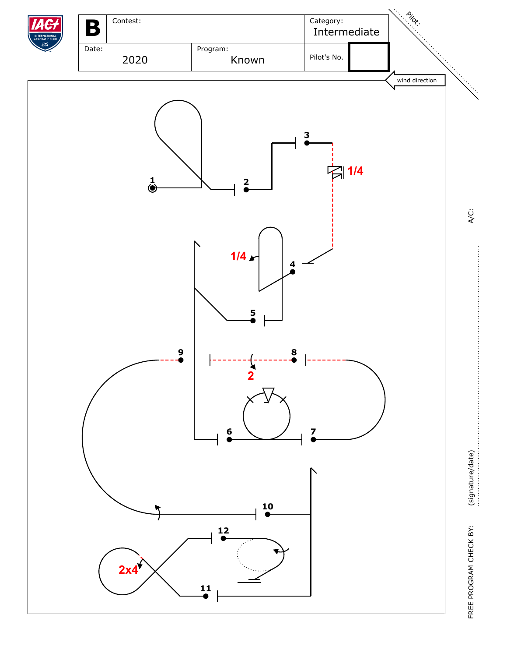